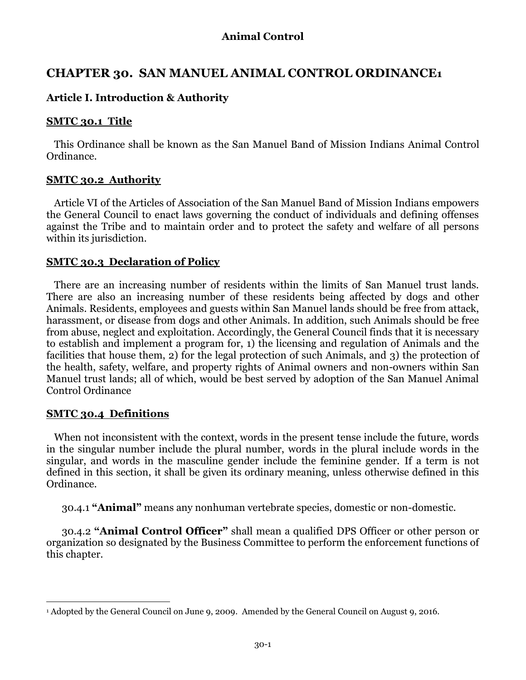# **CHAPTER 30. SAN MANUEL ANIMAL CONTROL ORDINANCE1**

# **Article I. Introduction & Authority**

### **SMTC 30.1 Title**

This Ordinance shall be known as the San Manuel Band of Mission Indians Animal Control Ordinance.

### **SMTC 30.2 Authority**

Article VI of the Articles of Association of the San Manuel Band of Mission Indians empowers the General Council to enact laws governing the conduct of individuals and defining offenses against the Tribe and to maintain order and to protect the safety and welfare of all persons within its jurisdiction.

### **SMTC 30.3 Declaration of Policy**

There are an increasing number of residents within the limits of San Manuel trust lands. There are also an increasing number of these residents being affected by dogs and other Animals. Residents, employees and guests within San Manuel lands should be free from attack, harassment, or disease from dogs and other Animals. In addition, such Animals should be free from abuse, neglect and exploitation. Accordingly, the General Council finds that it is necessary to establish and implement a program for, 1) the licensing and regulation of Animals and the facilities that house them, 2) for the legal protection of such Animals, and 3) the protection of the health, safety, welfare, and property rights of Animal owners and non-owners within San Manuel trust lands; all of which, would be best served by adoption of the San Manuel Animal Control Ordinance

### **SMTC 30.4 Definitions**

 $\overline{a}$ 

When not inconsistent with the context, words in the present tense include the future, words in the singular number include the plural number, words in the plural include words in the singular, and words in the masculine gender include the feminine gender. If a term is not defined in this section, it shall be given its ordinary meaning, unless otherwise defined in this Ordinance.

30.4.1 **"Animal"** means any nonhuman vertebrate species, domestic or non-domestic.

30.4.2 **"Animal Control Officer"** shall mean a qualified DPS Officer or other person or organization so designated by the Business Committee to perform the enforcement functions of this chapter.

<sup>1</sup> Adopted by the General Council on June 9, 2009. Amended by the General Council on August 9, 2016.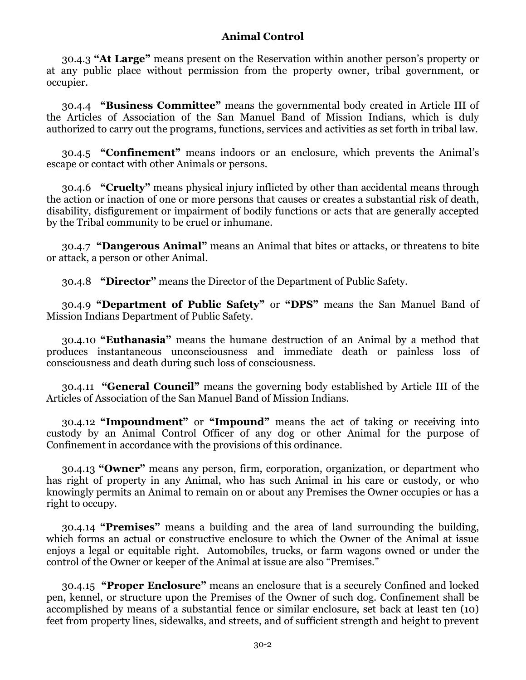30.4.3 **"At Large"** means present on the Reservation within another person's property or at any public place without permission from the property owner, tribal government, or occupier.

30.4.4 **"Business Committee"** means the governmental body created in Article III of the Articles of Association of the San Manuel Band of Mission Indians, which is duly authorized to carry out the programs, functions, services and activities as set forth in tribal law.

30.4.5 **"Confinement"** means indoors or an enclosure, which prevents the Animal's escape or contact with other Animals or persons.

30.4.6 **"Cruelty"** means physical injury inflicted by other than accidental means through the action or inaction of one or more persons that causes or creates a substantial risk of death, disability, disfigurement or impairment of bodily functions or acts that are generally accepted by the Tribal community to be cruel or inhumane.

30.4.7 **"Dangerous Animal"** means an Animal that bites or attacks, or threatens to bite or attack, a person or other Animal.

30.4.8 **"Director"** means the Director of the Department of Public Safety.

30.4.9 **"Department of Public Safety"** or **"DPS"** means the San Manuel Band of Mission Indians Department of Public Safety.

30.4.10 **"Euthanasia"** means the humane destruction of an Animal by a method that produces instantaneous unconsciousness and immediate death or painless loss of consciousness and death during such loss of consciousness.

30.4.11 **"General Council"** means the governing body established by Article III of the Articles of Association of the San Manuel Band of Mission Indians.

30.4.12 **"Impoundment"** or **"Impound"** means the act of taking or receiving into custody by an Animal Control Officer of any dog or other Animal for the purpose of Confinement in accordance with the provisions of this ordinance.

30.4.13 **"Owner"** means any person, firm, corporation, organization, or department who has right of property in any Animal, who has such Animal in his care or custody, or who knowingly permits an Animal to remain on or about any Premises the Owner occupies or has a right to occupy.

30.4.14 **"Premises"** means a building and the area of land surrounding the building, which forms an actual or constructive enclosure to which the Owner of the Animal at issue enjoys a legal or equitable right. Automobiles, trucks, or farm wagons owned or under the control of the Owner or keeper of the Animal at issue are also "Premises."

30.4.15 **"Proper Enclosure"** means an enclosure that is a securely Confined and locked pen, kennel, or structure upon the Premises of the Owner of such dog. Confinement shall be accomplished by means of a substantial fence or similar enclosure, set back at least ten (10) feet from property lines, sidewalks, and streets, and of sufficient strength and height to prevent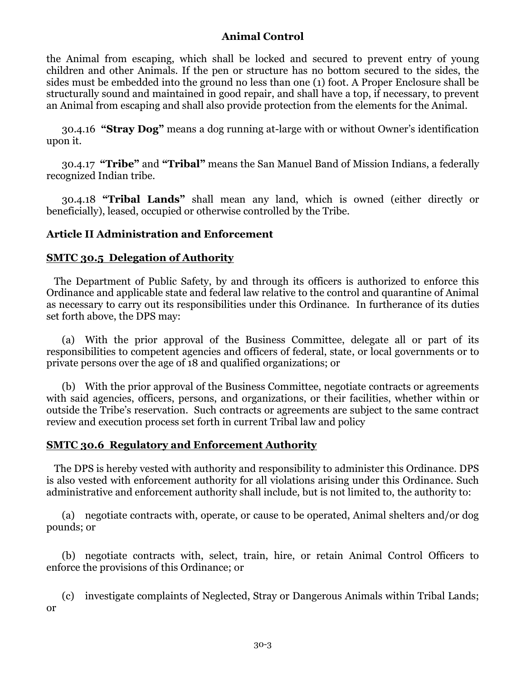the Animal from escaping, which shall be locked and secured to prevent entry of young children and other Animals. If the pen or structure has no bottom secured to the sides, the sides must be embedded into the ground no less than one (1) foot. A Proper Enclosure shall be structurally sound and maintained in good repair, and shall have a top, if necessary, to prevent an Animal from escaping and shall also provide protection from the elements for the Animal.

30.4.16 **"Stray Dog"** means a dog running at-large with or without Owner's identification upon it.

30.4.17 **"Tribe"** and **"Tribal"** means the San Manuel Band of Mission Indians, a federally recognized Indian tribe.

30.4.18 **"Tribal Lands"** shall mean any land, which is owned (either directly or beneficially), leased, occupied or otherwise controlled by the Tribe.

## **Article II Administration and Enforcement**

### **SMTC 30.5 Delegation of Authority**

The Department of Public Safety, by and through its officers is authorized to enforce this Ordinance and applicable state and federal law relative to the control and quarantine of Animal as necessary to carry out its responsibilities under this Ordinance. In furtherance of its duties set forth above, the DPS may:

(a) With the prior approval of the Business Committee, delegate all or part of its responsibilities to competent agencies and officers of federal, state, or local governments or to private persons over the age of 18 and qualified organizations; or

(b) With the prior approval of the Business Committee, negotiate contracts or agreements with said agencies, officers, persons, and organizations, or their facilities, whether within or outside the Tribe's reservation. Such contracts or agreements are subject to the same contract review and execution process set forth in current Tribal law and policy

### **SMTC 30.6 Regulatory and Enforcement Authority**

The DPS is hereby vested with authority and responsibility to administer this Ordinance. DPS is also vested with enforcement authority for all violations arising under this Ordinance. Such administrative and enforcement authority shall include, but is not limited to, the authority to:

(a) negotiate contracts with, operate, or cause to be operated, Animal shelters and/or dog pounds; or

(b) negotiate contracts with, select, train, hire, or retain Animal Control Officers to enforce the provisions of this Ordinance; or

(c) investigate complaints of Neglected, Stray or Dangerous Animals within Tribal Lands; or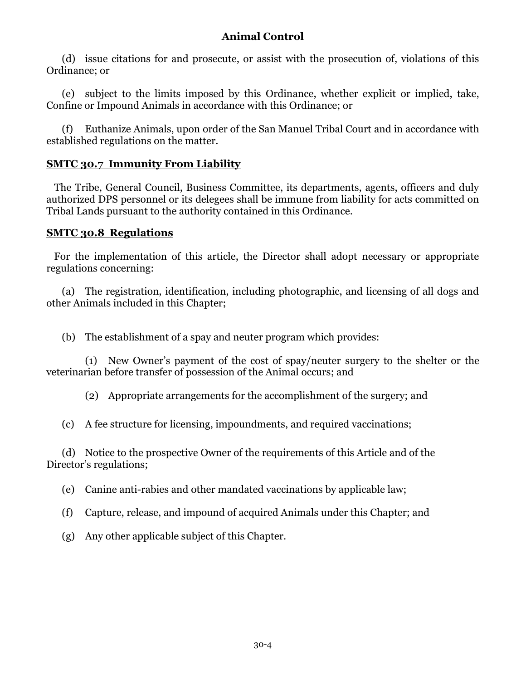(d) issue citations for and prosecute, or assist with the prosecution of, violations of this Ordinance; or

(e) subject to the limits imposed by this Ordinance, whether explicit or implied, take, Confine or Impound Animals in accordance with this Ordinance; or

(f) Euthanize Animals, upon order of the San Manuel Tribal Court and in accordance with established regulations on the matter.

## **SMTC 30.7 Immunity From Liability**

The Tribe, General Council, Business Committee, its departments, agents, officers and duly authorized DPS personnel or its delegees shall be immune from liability for acts committed on Tribal Lands pursuant to the authority contained in this Ordinance.

### **SMTC 30.8 Regulations**

For the implementation of this article, the Director shall adopt necessary or appropriate regulations concerning:

(a) The registration, identification, including photographic, and licensing of all dogs and other Animals included in this Chapter;

(b) The establishment of a spay and neuter program which provides:

(1) New Owner's payment of the cost of spay/neuter surgery to the shelter or the veterinarian before transfer of possession of the Animal occurs; and

(2) Appropriate arrangements for the accomplishment of the surgery; and

(c) A fee structure for licensing, impoundments, and required vaccinations;

(d) Notice to the prospective Owner of the requirements of this Article and of the Director's regulations;

(e) Canine anti-rabies and other mandated vaccinations by applicable law;

- (f) Capture, release, and impound of acquired Animals under this Chapter; and
- (g) Any other applicable subject of this Chapter.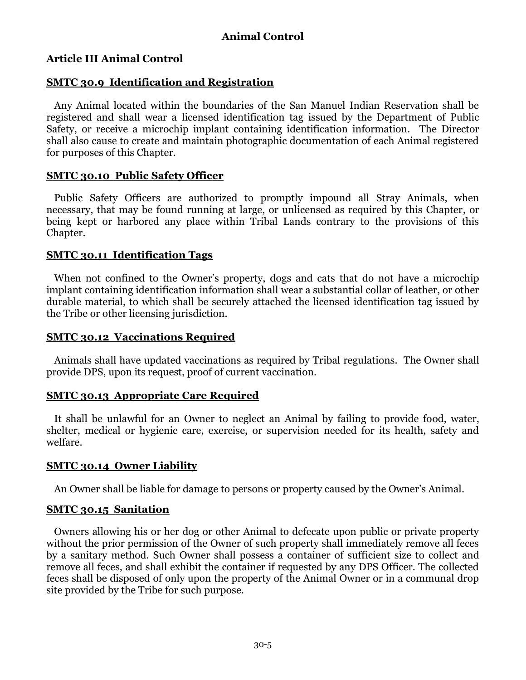## **Article III Animal Control**

### **SMTC 30.9 Identification and Registration**

Any Animal located within the boundaries of the San Manuel Indian Reservation shall be registered and shall wear a licensed identification tag issued by the Department of Public Safety, or receive a microchip implant containing identification information. The Director shall also cause to create and maintain photographic documentation of each Animal registered for purposes of this Chapter.

### **SMTC 30.10 Public Safety Officer**

Public Safety Officers are authorized to promptly impound all Stray Animals, when necessary, that may be found running at large, or unlicensed as required by this Chapter, or being kept or harbored any place within Tribal Lands contrary to the provisions of this Chapter.

### **SMTC 30.11 Identification Tags**

When not confined to the Owner's property, dogs and cats that do not have a microchip implant containing identification information shall wear a substantial collar of leather, or other durable material, to which shall be securely attached the licensed identification tag issued by the Tribe or other licensing jurisdiction.

### **SMTC 30.12 Vaccinations Required**

Animals shall have updated vaccinations as required by Tribal regulations. The Owner shall provide DPS, upon its request, proof of current vaccination.

## **SMTC 30.13 Appropriate Care Required**

It shall be unlawful for an Owner to neglect an Animal by failing to provide food, water, shelter, medical or hygienic care, exercise, or supervision needed for its health, safety and welfare.

## **SMTC 30.14 Owner Liability**

An Owner shall be liable for damage to persons or property caused by the Owner's Animal.

### **SMTC 30.15 Sanitation**

Owners allowing his or her dog or other Animal to defecate upon public or private property without the prior permission of the Owner of such property shall immediately remove all feces by a sanitary method. Such Owner shall possess a container of sufficient size to collect and remove all feces, and shall exhibit the container if requested by any DPS Officer. The collected feces shall be disposed of only upon the property of the Animal Owner or in a communal drop site provided by the Tribe for such purpose.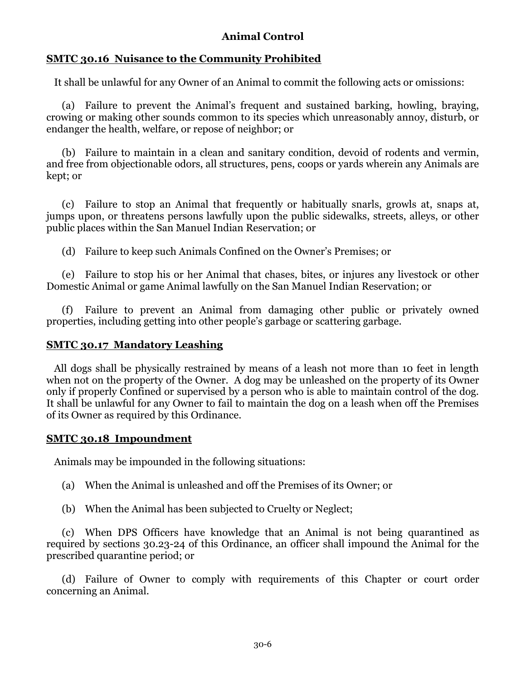### **SMTC 30.16 Nuisance to the Community Prohibited**

It shall be unlawful for any Owner of an Animal to commit the following acts or omissions:

(a) Failure to prevent the Animal's frequent and sustained barking, howling, braying, crowing or making other sounds common to its species which unreasonably annoy, disturb, or endanger the health, welfare, or repose of neighbor; or

(b) Failure to maintain in a clean and sanitary condition, devoid of rodents and vermin, and free from objectionable odors, all structures, pens, coops or yards wherein any Animals are kept; or

(c) Failure to stop an Animal that frequently or habitually snarls, growls at, snaps at, jumps upon, or threatens persons lawfully upon the public sidewalks, streets, alleys, or other public places within the San Manuel Indian Reservation; or

(d) Failure to keep such Animals Confined on the Owner's Premises; or

(e) Failure to stop his or her Animal that chases, bites, or injures any livestock or other Domestic Animal or game Animal lawfully on the San Manuel Indian Reservation; or

(f) Failure to prevent an Animal from damaging other public or privately owned properties, including getting into other people's garbage or scattering garbage.

### **SMTC 30.17 Mandatory Leashing**

All dogs shall be physically restrained by means of a leash not more than 10 feet in length when not on the property of the Owner. A dog may be unleashed on the property of its Owner only if properly Confined or supervised by a person who is able to maintain control of the dog. It shall be unlawful for any Owner to fail to maintain the dog on a leash when off the Premises of its Owner as required by this Ordinance.

### **SMTC 30.18 Impoundment**

Animals may be impounded in the following situations:

(a) When the Animal is unleashed and off the Premises of its Owner; or

(b) When the Animal has been subjected to Cruelty or Neglect;

(c) When DPS Officers have knowledge that an Animal is not being quarantined as required by sections 30.23-24 of this Ordinance, an officer shall impound the Animal for the prescribed quarantine period; or

(d) Failure of Owner to comply with requirements of this Chapter or court order concerning an Animal.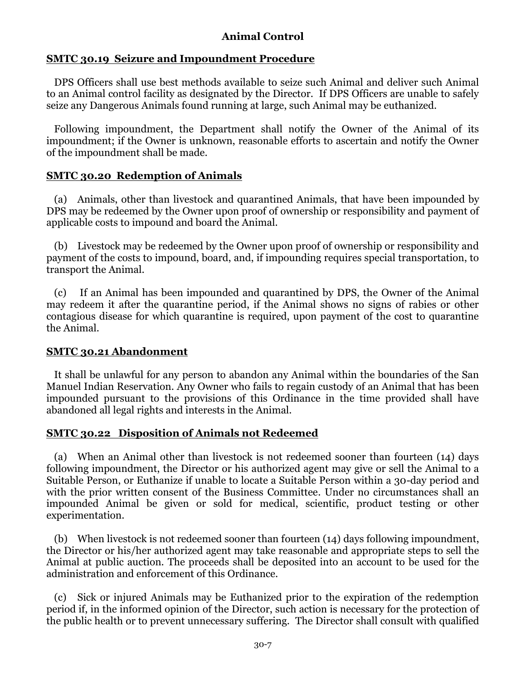### **SMTC 30.19 Seizure and Impoundment Procedure**

DPS Officers shall use best methods available to seize such Animal and deliver such Animal to an Animal control facility as designated by the Director. If DPS Officers are unable to safely seize any Dangerous Animals found running at large, such Animal may be euthanized.

Following impoundment, the Department shall notify the Owner of the Animal of its impoundment; if the Owner is unknown, reasonable efforts to ascertain and notify the Owner of the impoundment shall be made.

### **SMTC 30.20 Redemption of Animals**

(a) Animals, other than livestock and quarantined Animals, that have been impounded by DPS may be redeemed by the Owner upon proof of ownership or responsibility and payment of applicable costs to impound and board the Animal.

(b) Livestock may be redeemed by the Owner upon proof of ownership or responsibility and payment of the costs to impound, board, and, if impounding requires special transportation, to transport the Animal.

(c) If an Animal has been impounded and quarantined by DPS, the Owner of the Animal may redeem it after the quarantine period, if the Animal shows no signs of rabies or other contagious disease for which quarantine is required, upon payment of the cost to quarantine the Animal.

### **SMTC 30.21 Abandonment**

It shall be unlawful for any person to abandon any Animal within the boundaries of the San Manuel Indian Reservation. Any Owner who fails to regain custody of an Animal that has been impounded pursuant to the provisions of this Ordinance in the time provided shall have abandoned all legal rights and interests in the Animal.

## **SMTC 30.22 Disposition of Animals not Redeemed**

(a) When an Animal other than livestock is not redeemed sooner than fourteen (14) days following impoundment, the Director or his authorized agent may give or sell the Animal to a Suitable Person, or Euthanize if unable to locate a Suitable Person within a 30-day period and with the prior written consent of the Business Committee. Under no circumstances shall an impounded Animal be given or sold for medical, scientific, product testing or other experimentation.

(b) When livestock is not redeemed sooner than fourteen (14) days following impoundment, the Director or his/her authorized agent may take reasonable and appropriate steps to sell the Animal at public auction. The proceeds shall be deposited into an account to be used for the administration and enforcement of this Ordinance.

(c) Sick or injured Animals may be Euthanized prior to the expiration of the redemption period if, in the informed opinion of the Director, such action is necessary for the protection of the public health or to prevent unnecessary suffering. The Director shall consult with qualified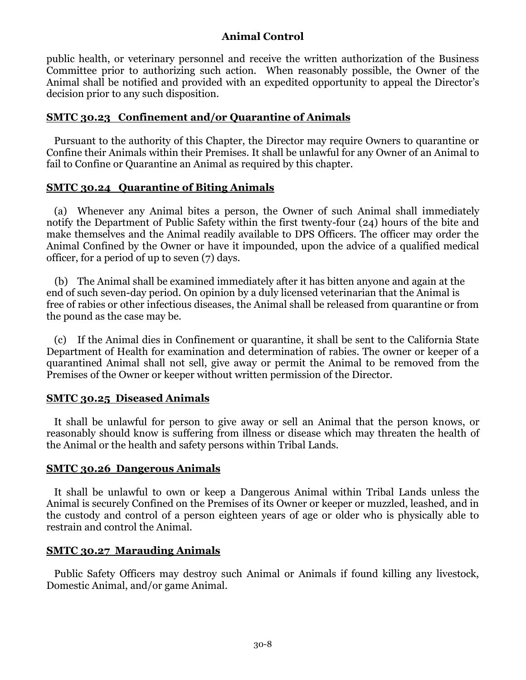public health, or veterinary personnel and receive the written authorization of the Business Committee prior to authorizing such action. When reasonably possible, the Owner of the Animal shall be notified and provided with an expedited opportunity to appeal the Director's decision prior to any such disposition.

### **SMTC 30.23 Confinement and/or Quarantine of Animals**

Pursuant to the authority of this Chapter, the Director may require Owners to quarantine or Confine their Animals within their Premises. It shall be unlawful for any Owner of an Animal to fail to Confine or Quarantine an Animal as required by this chapter.

### **SMTC 30.24 Quarantine of Biting Animals**

(a) Whenever any Animal bites a person, the Owner of such Animal shall immediately notify the Department of Public Safety within the first twenty-four (24) hours of the bite and make themselves and the Animal readily available to DPS Officers. The officer may order the Animal Confined by the Owner or have it impounded, upon the advice of a qualified medical officer, for a period of up to seven (7) days.

(b) The Animal shall be examined immediately after it has bitten anyone and again at the end of such seven-day period. On opinion by a duly licensed veterinarian that the Animal is free of rabies or other infectious diseases, the Animal shall be released from quarantine or from the pound as the case may be.

(c) If the Animal dies in Confinement or quarantine, it shall be sent to the California State Department of Health for examination and determination of rabies. The owner or keeper of a quarantined Animal shall not sell, give away or permit the Animal to be removed from the Premises of the Owner or keeper without written permission of the Director.

## **SMTC 30.25 Diseased Animals**

It shall be unlawful for person to give away or sell an Animal that the person knows, or reasonably should know is suffering from illness or disease which may threaten the health of the Animal or the health and safety persons within Tribal Lands.

### **SMTC 30.26 Dangerous Animals**

It shall be unlawful to own or keep a Dangerous Animal within Tribal Lands unless the Animal is securely Confined on the Premises of its Owner or keeper or muzzled, leashed, and in the custody and control of a person eighteen years of age or older who is physically able to restrain and control the Animal.

## **SMTC 30.27 Marauding Animals**

Public Safety Officers may destroy such Animal or Animals if found killing any livestock, Domestic Animal, and/or game Animal.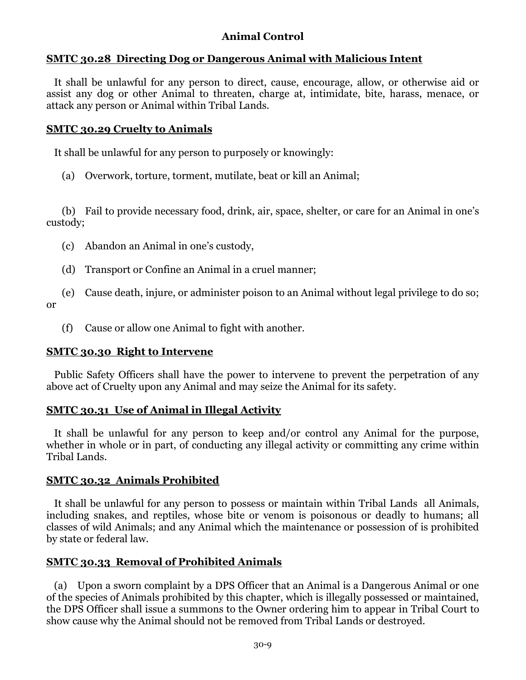### **SMTC 30.28 Directing Dog or Dangerous Animal with Malicious Intent**

It shall be unlawful for any person to direct, cause, encourage, allow, or otherwise aid or assist any dog or other Animal to threaten, charge at, intimidate, bite, harass, menace, or attack any person or Animal within Tribal Lands.

#### **SMTC 30.29 Cruelty to Animals**

It shall be unlawful for any person to purposely or knowingly:

(a) Overwork, torture, torment, mutilate, beat or kill an Animal;

(b) Fail to provide necessary food, drink, air, space, shelter, or care for an Animal in one's custody;

- (c) Abandon an Animal in one's custody,
- (d) Transport or Confine an Animal in a cruel manner;

(e) Cause death, injure, or administer poison to an Animal without legal privilege to do so; or

(f) Cause or allow one Animal to fight with another.

### **SMTC 30.30 Right to Intervene**

Public Safety Officers shall have the power to intervene to prevent the perpetration of any above act of Cruelty upon any Animal and may seize the Animal for its safety.

### **SMTC 30.31 Use of Animal in Illegal Activity**

It shall be unlawful for any person to keep and/or control any Animal for the purpose, whether in whole or in part, of conducting any illegal activity or committing any crime within Tribal Lands.

### **SMTC 30.32 Animals Prohibited**

It shall be unlawful for any person to possess or maintain within Tribal Lands all Animals, including snakes, and reptiles, whose bite or venom is poisonous or deadly to humans; all classes of wild Animals; and any Animal which the maintenance or possession of is prohibited by state or federal law.

### **SMTC 30.33 Removal of Prohibited Animals**

(a) Upon a sworn complaint by a DPS Officer that an Animal is a Dangerous Animal or one of the species of Animals prohibited by this chapter, which is illegally possessed or maintained, the DPS Officer shall issue a summons to the Owner ordering him to appear in Tribal Court to show cause why the Animal should not be removed from Tribal Lands or destroyed.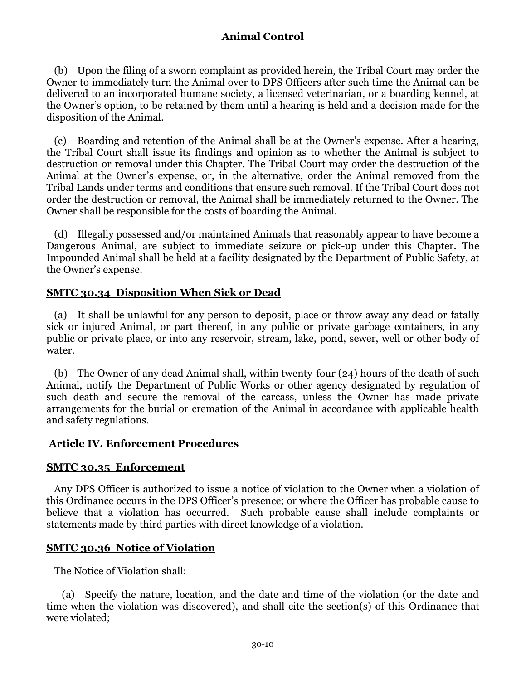(b) Upon the filing of a sworn complaint as provided herein, the Tribal Court may order the Owner to immediately turn the Animal over to DPS Officers after such time the Animal can be delivered to an incorporated humane society, a licensed veterinarian, or a boarding kennel, at the Owner's option, to be retained by them until a hearing is held and a decision made for the disposition of the Animal.

(c) Boarding and retention of the Animal shall be at the Owner's expense. After a hearing, the Tribal Court shall issue its findings and opinion as to whether the Animal is subject to destruction or removal under this Chapter. The Tribal Court may order the destruction of the Animal at the Owner's expense, or, in the alternative, order the Animal removed from the Tribal Lands under terms and conditions that ensure such removal. If the Tribal Court does not order the destruction or removal, the Animal shall be immediately returned to the Owner. The Owner shall be responsible for the costs of boarding the Animal.

(d) Illegally possessed and/or maintained Animals that reasonably appear to have become a Dangerous Animal, are subject to immediate seizure or pick-up under this Chapter. The Impounded Animal shall be held at a facility designated by the Department of Public Safety, at the Owner's expense.

### **SMTC 30.34 Disposition When Sick or Dead**

(a) It shall be unlawful for any person to deposit, place or throw away any dead or fatally sick or injured Animal, or part thereof, in any public or private garbage containers, in any public or private place, or into any reservoir, stream, lake, pond, sewer, well or other body of water.

(b) The Owner of any dead Animal shall, within twenty-four (24) hours of the death of such Animal, notify the Department of Public Works or other agency designated by regulation of such death and secure the removal of the carcass, unless the Owner has made private arrangements for the burial or cremation of the Animal in accordance with applicable health and safety regulations.

### **Article IV. Enforcement Procedures**

### **SMTC 30.35 Enforcement**

Any DPS Officer is authorized to issue a notice of violation to the Owner when a violation of this Ordinance occurs in the DPS Officer's presence; or where the Officer has probable cause to believe that a violation has occurred. Such probable cause shall include complaints or statements made by third parties with direct knowledge of a violation.

### **SMTC 30.36 Notice of Violation**

The Notice of Violation shall:

(a) Specify the nature, location, and the date and time of the violation (or the date and time when the violation was discovered), and shall cite the section(s) of this Ordinance that were violated;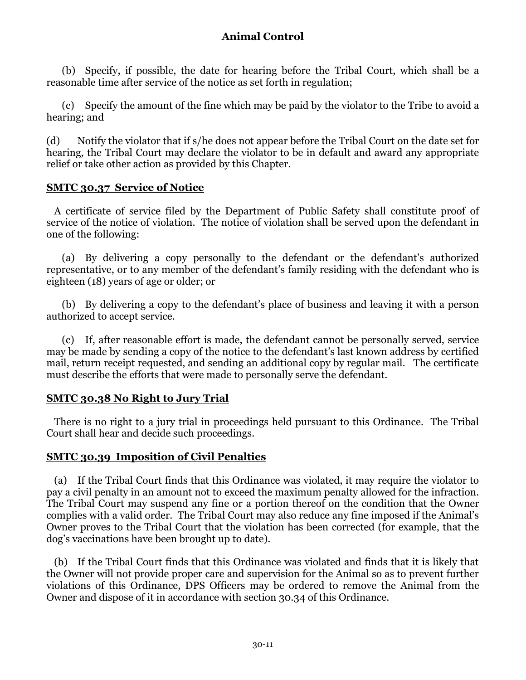(b) Specify, if possible, the date for hearing before the Tribal Court, which shall be a reasonable time after service of the notice as set forth in regulation;

(c) Specify the amount of the fine which may be paid by the violator to the Tribe to avoid a hearing; and

(d) Notify the violator that if s/he does not appear before the Tribal Court on the date set for hearing, the Tribal Court may declare the violator to be in default and award any appropriate relief or take other action as provided by this Chapter.

#### **SMTC 30.37 Service of Notice**

A certificate of service filed by the Department of Public Safety shall constitute proof of service of the notice of violation. The notice of violation shall be served upon the defendant in one of the following:

(a) By delivering a copy personally to the defendant or the defendant's authorized representative, or to any member of the defendant's family residing with the defendant who is eighteen (18) years of age or older; or

(b) By delivering a copy to the defendant's place of business and leaving it with a person authorized to accept service.

(c) If, after reasonable effort is made, the defendant cannot be personally served, service may be made by sending a copy of the notice to the defendant's last known address by certified mail, return receipt requested, and sending an additional copy by regular mail. The certificate must describe the efforts that were made to personally serve the defendant.

### **SMTC 30.38 No Right to Jury Trial**

There is no right to a jury trial in proceedings held pursuant to this Ordinance. The Tribal Court shall hear and decide such proceedings.

### **SMTC 30.39 Imposition of Civil Penalties**

(a) If the Tribal Court finds that this Ordinance was violated, it may require the violator to pay a civil penalty in an amount not to exceed the maximum penalty allowed for the infraction. The Tribal Court may suspend any fine or a portion thereof on the condition that the Owner complies with a valid order. The Tribal Court may also reduce any fine imposed if the Animal's Owner proves to the Tribal Court that the violation has been corrected (for example, that the dog's vaccinations have been brought up to date).

(b) If the Tribal Court finds that this Ordinance was violated and finds that it is likely that the Owner will not provide proper care and supervision for the Animal so as to prevent further violations of this Ordinance, DPS Officers may be ordered to remove the Animal from the Owner and dispose of it in accordance with section 30.34 of this Ordinance.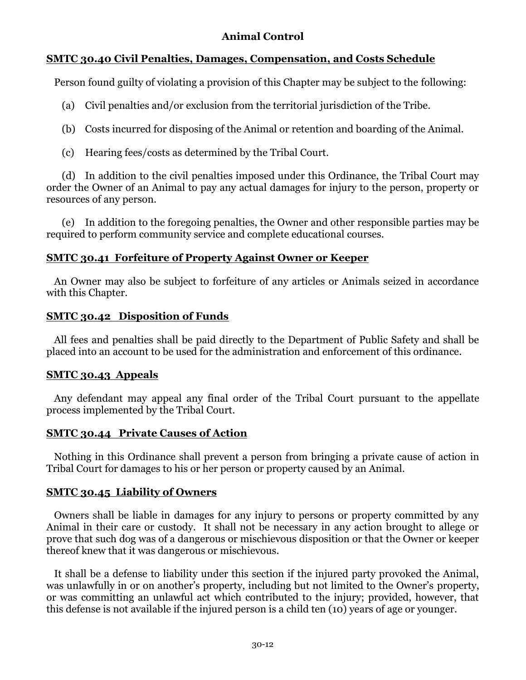# **SMTC 30.40 Civil Penalties, Damages, Compensation, and Costs Schedule**

Person found guilty of violating a provision of this Chapter may be subject to the following:

- (a) Civil penalties and/or exclusion from the territorial jurisdiction of the Tribe.
- (b) Costs incurred for disposing of the Animal or retention and boarding of the Animal.
- (c) Hearing fees/costs as determined by the Tribal Court.

(d) In addition to the civil penalties imposed under this Ordinance, the Tribal Court may order the Owner of an Animal to pay any actual damages for injury to the person, property or resources of any person.

(e) In addition to the foregoing penalties, the Owner and other responsible parties may be required to perform community service and complete educational courses.

# **SMTC 30.41 Forfeiture of Property Against Owner or Keeper**

An Owner may also be subject to forfeiture of any articles or Animals seized in accordance with this Chapter.

## **SMTC 30.42 Disposition of Funds**

All fees and penalties shall be paid directly to the Department of Public Safety and shall be placed into an account to be used for the administration and enforcement of this ordinance.

## **SMTC 30.43 Appeals**

Any defendant may appeal any final order of the Tribal Court pursuant to the appellate process implemented by the Tribal Court.

# **SMTC 30.44 Private Causes of Action**

Nothing in this Ordinance shall prevent a person from bringing a private cause of action in Tribal Court for damages to his or her person or property caused by an Animal.

# **SMTC 30.45 Liability of Owners**

Owners shall be liable in damages for any injury to persons or property committed by any Animal in their care or custody. It shall not be necessary in any action brought to allege or prove that such dog was of a dangerous or mischievous disposition or that the Owner or keeper thereof knew that it was dangerous or mischievous.

It shall be a defense to liability under this section if the injured party provoked the Animal, was unlawfully in or on another's property, including but not limited to the Owner's property, or was committing an unlawful act which contributed to the injury; provided, however, that this defense is not available if the injured person is a child ten (10) years of age or younger.